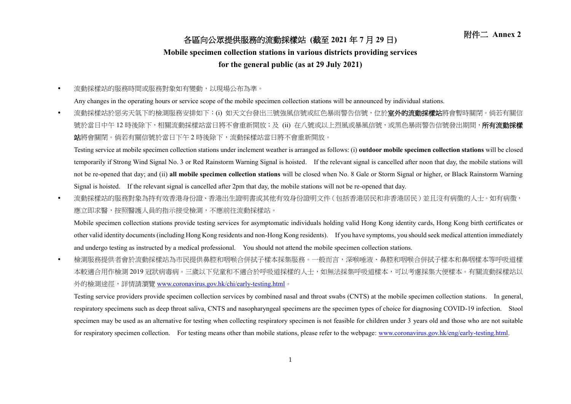## 附件二 **Annex <sup>2</sup>** 各區向公眾提供服務的流動採樣站 **(**截至 **<sup>2021</sup>** <sup>年</sup> **<sup>7</sup>** <sup>月</sup> **<sup>29</sup>** <sup>日</sup>**)**

## **Mobile specimen collection stations in various districts providing services**

## **for the general public (as at 29 July 2021)**

流動採樣站的服務時間或服務對象如有變動,以現場公布為準。

Any changes in the operating hours or service scope of the mobile specimen collection stations will be announced by individual stations.

• 流動採樣站於惡劣天氣下的檢測服務安排如下:(i) 如天文台發出三號強風信號或紅色暴雨警告信號,位於**室外的流動採樣站**將會暫時關閉。倘若有關信 號於當日中午 12 時後除下,相關流動採樣站當日將不會重新開放;及 (ii) 在八號或以上烈風或暴風信號,或黑色暴雨警告信號發出期間,**所有流動採樣** 站將會關閉。倘若有關信號於當日下午 2 時後除下,流動採樣站當日將不會重新開放。

Testing service at mobile specimen collection stations under inclement weather is arranged as follows: (i) **outdoor mobile specimen collection stations** will be closed temporarily if Strong Wind Signal No. 3 or Red Rainstorm Warning Signal is hoisted. If the relevant signal is cancelled after noon that day, the mobile stations will not be re-opened that day; and (ii) **all mobile specimen collection stations** will be closed when No. 8 Gale or Storm Signal or higher, or Black Rainstorm Warning Signal is hoisted. If the relevant signal is cancelled after 2pm that day, the mobile stations will not be re-opened that day.

• 流動採樣站的服務對象為持有效香港身份證、香港出生證明書或其他有效身份證明文件(包括香港居民和非香港居民)並且沒有病徵的人士。如有病徵, 應立即求醫,按照醫護人員的指示接受檢測,不應前往流動採樣站。

Mobile specimen collection stations provide testing services for asymptomatic individuals holding valid Hong Kong identity cards, Hong Kong birth certificates or other valid identity documents (including Hong Kong residents and non-Hong Kong residents). If you have symptoms, you should seek medical attention immediately and undergo testing as instructed by a medical professional. You should not attend the mobile specimen collection stations.

 檢測服務提供者會於流動採樣站為市民提供鼻腔和咽喉合併拭子樣本採集服務。一般而言,深喉唾液、鼻腔和咽喉合併拭子樣本和鼻咽樣本等呼吸道樣 本較適合用作檢測 2019 冠狀病毒病。三歲以下兒童和不適合於呼吸道採樣的人士,如無法採集呼吸道樣本,可以考慮採集大便樣本。有關流動採樣站以 外的檢測途徑,詳情請瀏覽 [www.coronavirus.gov.hk/chi/early-testing.html](http://www.coronavirus.gov.hk/chi/early-​testing.html)。

Testing service providers provide specimen collection services by combined nasal and throat swabs (CNTS) at the mobile specimen collection stations. In general, respiratory specimens such as deep throat saliva, CNTS and nasopharyngeal specimens are the specimen types of choice for diagnosing COVID-19 infection. Stool specimen may be used as an alternative for testing when collecting respiratory specimen is not feasible for children under 3 years old and those who are not suitable for respiratory specimen collection. For testing means other than mobile stations, please refer to the webpage: [www.coronavirus.gov.hk/eng/early-testing.html.](http://www.coronavirus.gov.hk/eng/early-testing.html)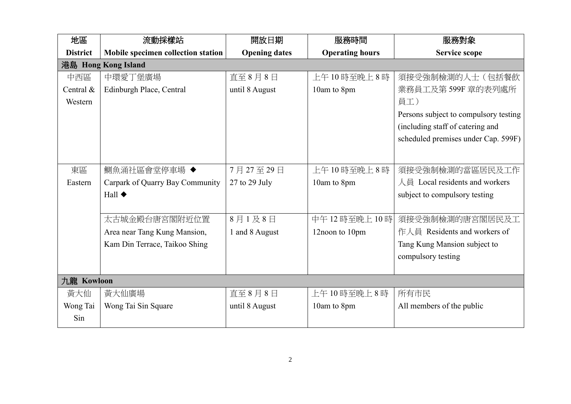| 地區              | 流動採樣站                              | 開放日期                 | 服務時間                   | 服務對象                                           |  |
|-----------------|------------------------------------|----------------------|------------------------|------------------------------------------------|--|
| <b>District</b> | Mobile specimen collection station | <b>Opening dates</b> | <b>Operating hours</b> | <b>Service scope</b>                           |  |
|                 | 港島 Hong Kong Island                |                      |                        |                                                |  |
| 中西區             | 中環愛丁堡廣場                            | 直至8月8日               | 上午10時至晚上8時             | 須接受強制檢測的人士(包括餐飲                                |  |
| Central $\&$    | Edinburgh Place, Central           | until 8 August       | 10am to 8pm            | 業務員工及第 599F 章的表列處所                             |  |
| Western         |                                    |                      |                        | 員工)                                            |  |
|                 |                                    |                      |                        | Persons subject to compulsory testing          |  |
|                 |                                    |                      |                        | (including staff of catering and               |  |
|                 |                                    |                      |                        | scheduled premises under Cap. 599F)            |  |
|                 |                                    |                      |                        |                                                |  |
| 東區              |                                    | 7月27至29日             | 上午10時至晚上8時             |                                                |  |
|                 | 鰂魚涌社區會堂停車場 ◆                       |                      |                        | 須接受強制檢測的當區居民及工作                                |  |
| Eastern         | Carpark of Quarry Bay Community    | 27 to 29 July        | 10am to 8pm            | $\lambda \boxplus$ Local residents and workers |  |
|                 | Hall $\blacklozenge$               |                      |                        | subject to compulsory testing                  |  |
|                 |                                    |                      |                        |                                                |  |
|                 | 太古城金殿台唐宮閣附近位置                      | 8月1及8日               | 中午12時至晚上10時            | 須接受強制檢測的唐宮閣居民及工                                |  |
|                 | Area near Tang Kung Mansion,       | 1 and 8 August       | 12noon to 10pm         | 作人員 Residents and workers of                   |  |
|                 | Kam Din Terrace, Taikoo Shing      |                      |                        | Tang Kung Mansion subject to                   |  |
|                 |                                    |                      |                        | compulsory testing                             |  |
|                 |                                    |                      |                        |                                                |  |
| 九龍 Kowloon      |                                    |                      |                        |                                                |  |
| 黃大仙             | 黃大仙廣場                              | 直至8月8日               | 上午10時至晚上8時             | 所有市民                                           |  |
| Wong Tai        | Wong Tai Sin Square                | until 8 August       | 10am to 8pm            | All members of the public                      |  |
| Sin             |                                    |                      |                        |                                                |  |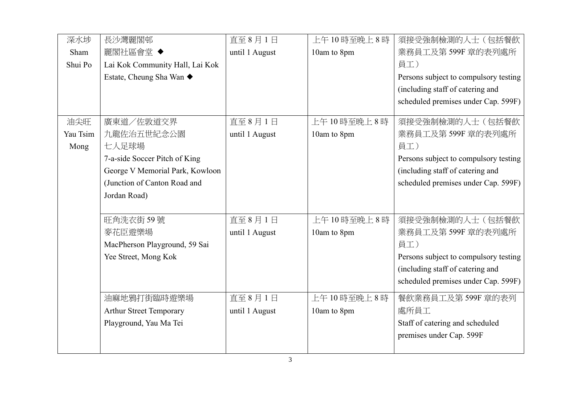| 深水埗      | 長沙灣麗閣邨                          | 直至8月1日         | 上午10時至晚上8時  | 須接受強制檢測的人士(包括餐飲                       |
|----------|---------------------------------|----------------|-------------|---------------------------------------|
| Sham     | 麗閣社區會堂 ◆                        | until 1 August | 10am to 8pm | 業務員工及第599F 章的表列處所                     |
| Shui Po  | Lai Kok Community Hall, Lai Kok |                |             | 員工)                                   |
|          | Estate, Cheung Sha Wan ◆        |                |             | Persons subject to compulsory testing |
|          |                                 |                |             | (including staff of catering and      |
|          |                                 |                |             | scheduled premises under Cap. 599F)   |
| 油尖旺      | 廣東道/佐敦道交界                       | 直至8月1日         | 上午10時至晚上8時  | 須接受強制檢測的人士(包括餐飲                       |
| Yau Tsim | 九龍佐治五世紀念公園                      | until 1 August | 10am to 8pm | 業務員工及第599F 章的表列處所                     |
| Mong     | 七人足球場                           |                |             | 員工)                                   |
|          | 7-a-side Soccer Pitch of King   |                |             | Persons subject to compulsory testing |
|          | George V Memorial Park, Kowloon |                |             | (including staff of catering and      |
|          | (Junction of Canton Road and    |                |             | scheduled premises under Cap. 599F)   |
|          | Jordan Road)                    |                |             |                                       |
|          |                                 |                |             |                                       |
|          | 旺角洗衣街59號                        | 直至8月1日         | 上午10時至晚上8時  | 須接受強制檢測的人士(包括餐飲                       |
|          | 麥花臣遊樂場                          | until 1 August | 10am to 8pm | 業務員工及第599F 章的表列處所                     |
|          | MacPherson Playground, 59 Sai   |                |             | 員工)                                   |
|          | Yee Street, Mong Kok            |                |             | Persons subject to compulsory testing |
|          |                                 |                |             | (including staff of catering and      |
|          |                                 |                |             | scheduled premises under Cap. 599F)   |
|          | 油麻地鴉打街臨時遊樂場                     | 直至8月1日         | 上午10時至晚上8時  | 餐飲業務員工及第599F 章的表列                     |
|          | <b>Arthur Street Temporary</b>  | until 1 August | 10am to 8pm | 處所員工                                  |
|          | Playground, Yau Ma Tei          |                |             | Staff of catering and scheduled       |
|          |                                 |                |             | premises under Cap. 599F              |
|          |                                 |                |             |                                       |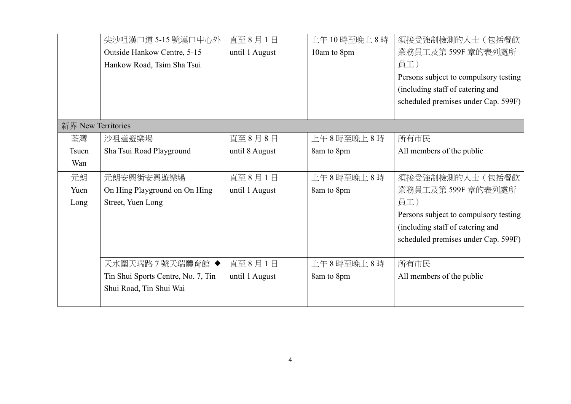|                    | 尖沙咀漢口道 5-15 號漢口中心外                 | 直至8月1日         | 上午10時至晚上8時  | 須接受強制檢測的人士(包括餐飲                       |
|--------------------|------------------------------------|----------------|-------------|---------------------------------------|
|                    | Outside Hankow Centre, 5-15        | until 1 August | 10am to 8pm | 業務員工及第599F 章的表列處所                     |
|                    | Hankow Road, Tsim Sha Tsui         |                |             | 員工)                                   |
|                    |                                    |                |             | Persons subject to compulsory testing |
|                    |                                    |                |             | (including staff of catering and      |
|                    |                                    |                |             | scheduled premises under Cap. 599F)   |
|                    |                                    |                |             |                                       |
| 新界 New Territories |                                    |                |             |                                       |
| 荃灣                 | 沙咀道遊樂場                             | 直至8月8日         | 上午8時至晚上8時   | 所有市民                                  |
| <b>Tsuen</b>       | Sha Tsui Road Playground           | until 8 August | 8am to 8pm  | All members of the public             |
| Wan                |                                    |                |             |                                       |
| 元朗                 | 元朗安興街安興遊樂場                         | 直至8月1日         | 上午8時至晚上8時   | 須接受強制檢測的人士(包括餐飲                       |
| Yuen               | On Hing Playground on On Hing      | until 1 August | 8am to 8pm  | 業務員工及第599F 章的表列處所                     |
| Long               | Street, Yuen Long                  |                |             | 員工)                                   |
|                    |                                    |                |             | Persons subject to compulsory testing |
|                    |                                    |                |             | (including staff of catering and      |
|                    |                                    |                |             | scheduled premises under Cap. 599F)   |
|                    |                                    |                |             |                                       |
|                    | 天水圍天瑞路7號天瑞體育館 ◆                    | 直至8月1日         | 上午8時至晚上8時   | 所有市民                                  |
|                    | Tin Shui Sports Centre, No. 7, Tin | until 1 August | 8am to 8pm  | All members of the public             |
|                    | Shui Road, Tin Shui Wai            |                |             |                                       |
|                    |                                    |                |             |                                       |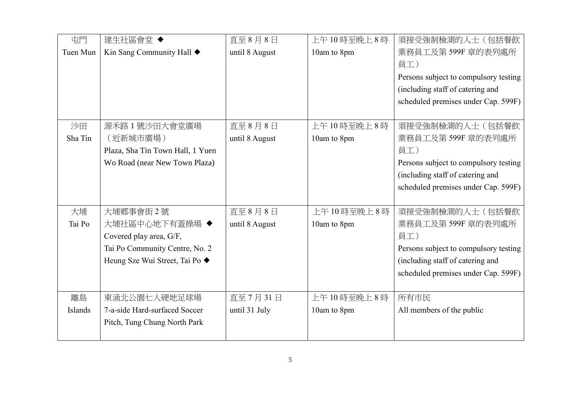| 屯門             | 建生社區會堂◆                          | 直至8月8日         | 上午10時至晚上8時  | 須接受強制檢測的人士(包括餐飲                       |
|----------------|----------------------------------|----------------|-------------|---------------------------------------|
| Tuen Mun       | Kin Sang Community Hall ◆        | until 8 August | 10am to 8pm | 業務員工及第599F 章的表列處所                     |
|                |                                  |                |             | 員工)                                   |
|                |                                  |                |             | Persons subject to compulsory testing |
|                |                                  |                |             | (including staff of catering and      |
|                |                                  |                |             | scheduled premises under Cap. 599F)   |
|                |                                  |                |             |                                       |
| 沙田             | 源禾路1號沙田大會堂廣場                     | 直至8月8日         | 上午10時至晚上8時  | 須接受強制檢測的人士(包括餐飲                       |
| Sha Tin        | (近新城市廣場)                         | until 8 August | 10am to 8pm | 業務員工及第599F 章的表列處所                     |
|                | Plaza, Sha Tin Town Hall, 1 Yuen |                |             | 員工)                                   |
|                | Wo Road (near New Town Plaza)    |                |             | Persons subject to compulsory testing |
|                |                                  |                |             | (including staff of catering and      |
|                |                                  |                |             | scheduled premises under Cap. 599F)   |
|                |                                  |                |             |                                       |
| 大埔             | 大埔鄉事會街2號                         | 直至8月8日         | 上午10時至晚上8時  | 須接受強制檢測的人士(包括餐飲                       |
| Tai Po         | 大埔社區中心地下有蓋操場 ◆                   | until 8 August | 10am to 8pm | 業務員工及第599F 章的表列處所                     |
|                | Covered play area, G/F,          |                |             | 員工)                                   |
|                | Tai Po Community Centre, No. 2   |                |             | Persons subject to compulsory testing |
|                | Heung Sze Wui Street, Tai Po ◆   |                |             | (including staff of catering and      |
|                |                                  |                |             | scheduled premises under Cap. 599F)   |
|                |                                  |                |             |                                       |
| 離島             | 東涌北公園七人硬地足球場                     | 直至 7月31日       | 上午10時至晚上8時  | 所有市民                                  |
| <b>Islands</b> | 7-a-side Hard-surfaced Soccer    | until 31 July  | 10am to 8pm | All members of the public             |
|                | Pitch, Tung Chung North Park     |                |             |                                       |
|                |                                  |                |             |                                       |